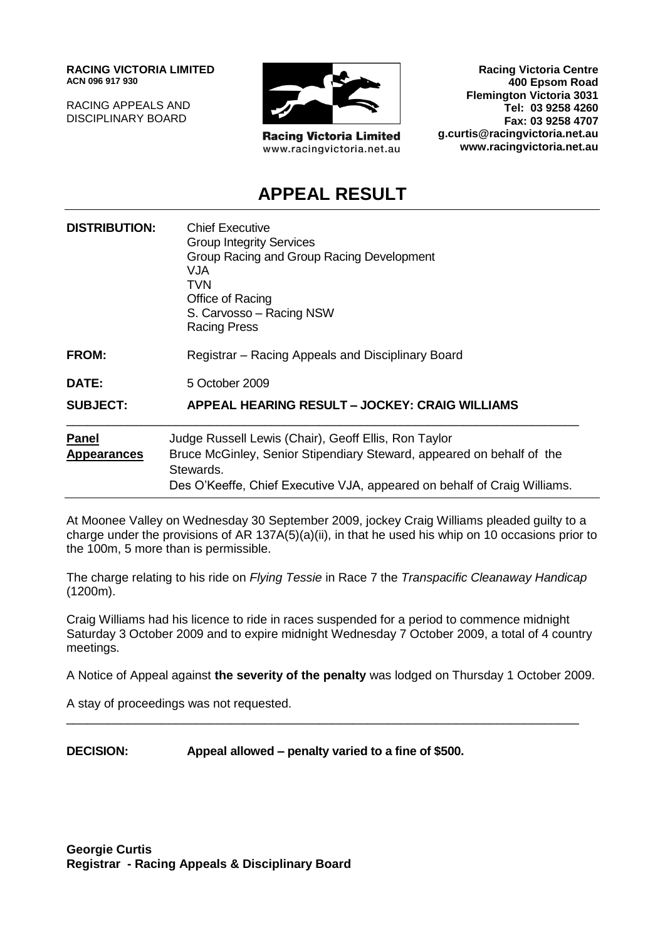**RACING VICTORIA LIMITED ACN 096 917 930**

RACING APPEALS AND DISCIPLINARY BOARD



**Racing Victoria Limited** www.racingvictoria.net.au

**Racing Victoria Centre 400 Epsom Road Flemington Victoria 3031 Tel: 03 9258 4260 Fax: 03 9258 4707 g.curtis@racingvictoria.net.au www.racingvictoria.net.au**

### **APPEAL RESULT**

| <b>DISTRIBUTION:</b>               | <b>Chief Executive</b><br><b>Group Integrity Services</b><br>Group Racing and Group Racing Development<br>VJA.<br>TVN<br>Office of Racing<br>S. Carvosso - Racing NSW<br><b>Racing Press</b>                           |
|------------------------------------|------------------------------------------------------------------------------------------------------------------------------------------------------------------------------------------------------------------------|
| <b>FROM:</b>                       | Registrar - Racing Appeals and Disciplinary Board                                                                                                                                                                      |
| DATE:                              | 5 October 2009                                                                                                                                                                                                         |
| <b>SUBJECT:</b>                    | APPEAL HEARING RESULT - JOCKEY: CRAIG WILLIAMS                                                                                                                                                                         |
| <b>Panel</b><br><b>Appearances</b> | Judge Russell Lewis (Chair), Geoff Ellis, Ron Taylor<br>Bruce McGinley, Senior Stipendiary Steward, appeared on behalf of the<br>Stewards.<br>Des O'Keeffe, Chief Executive VJA, appeared on behalf of Craig Williams. |

At Moonee Valley on Wednesday 30 September 2009, jockey Craig Williams pleaded guilty to a charge under the provisions of AR 137A(5)(a)(ii), in that he used his whip on 10 occasions prior to the 100m, 5 more than is permissible.

The charge relating to his ride on *Flying Tessie* in Race 7 the *Transpacific Cleanaway Handicap*  (1200m).

Craig Williams had his licence to ride in races suspended for a period to commence midnight Saturday 3 October 2009 and to expire midnight Wednesday 7 October 2009, a total of 4 country meetings.

A Notice of Appeal against **the severity of the penalty** was lodged on Thursday 1 October 2009.

\_\_\_\_\_\_\_\_\_\_\_\_\_\_\_\_\_\_\_\_\_\_\_\_\_\_\_\_\_\_\_\_\_\_\_\_\_\_\_\_\_\_\_\_\_\_\_\_\_\_\_\_\_\_\_\_\_\_\_\_\_\_\_\_\_\_\_\_\_\_\_\_\_\_\_

A stay of proceedings was not requested.

**DECISION: Appeal allowed – penalty varied to a fine of \$500.**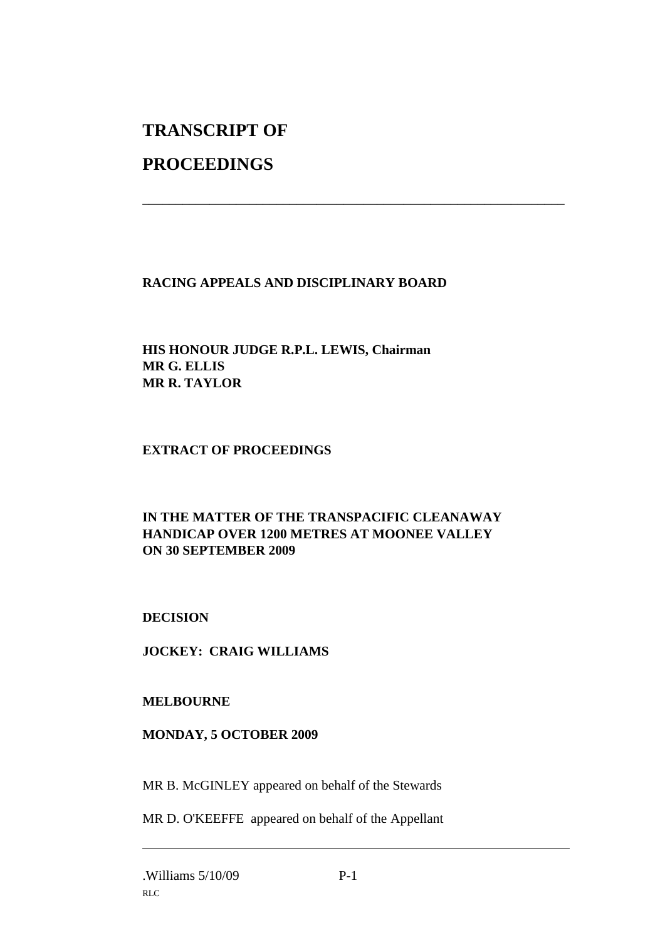# **TRANSCRIPT OF**

## **PROCEEDINGS**

#### **RACING APPEALS AND DISCIPLINARY BOARD**

\_\_\_\_\_\_\_\_\_\_\_\_\_\_\_\_\_\_\_\_\_\_\_\_\_\_\_\_\_\_\_\_\_\_\_\_\_\_\_\_\_\_\_\_\_\_\_\_\_\_\_\_\_\_\_\_\_\_\_\_\_\_\_

#### **HIS HONOUR JUDGE R.P.L. LEWIS, Chairman MR G. ELLIS MR R. TAYLOR**

#### **EXTRACT OF PROCEEDINGS**

#### **IN THE MATTER OF THE TRANSPACIFIC CLEANAWAY HANDICAP OVER 1200 METRES AT MOONEE VALLEY ON 30 SEPTEMBER 2009**

#### **DECISION**

#### **JOCKEY: CRAIG WILLIAMS**

#### **MELBOURNE**

#### **MONDAY, 5 OCTOBER 2009**

MR B. McGINLEY appeared on behalf of the Stewards

MR D. O'KEEFFE appeared on behalf of the Appellant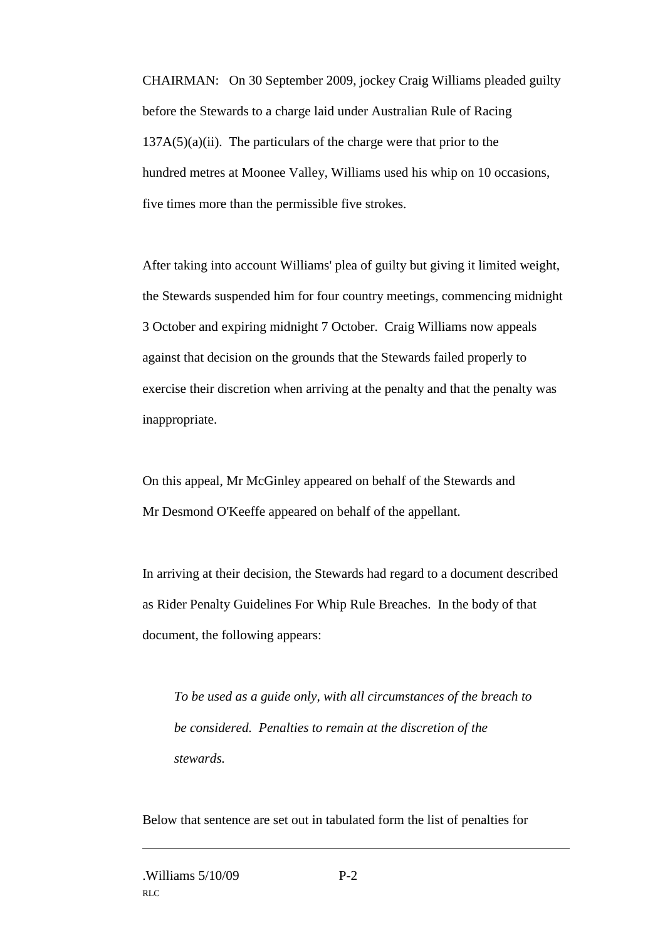CHAIRMAN: On 30 September 2009, jockey Craig Williams pleaded guilty before the Stewards to a charge laid under Australian Rule of Racing  $137A(5)(a)(ii)$ . The particulars of the charge were that prior to the hundred metres at Moonee Valley, Williams used his whip on 10 occasions, five times more than the permissible five strokes.

After taking into account Williams' plea of guilty but giving it limited weight, the Stewards suspended him for four country meetings, commencing midnight 3 October and expiring midnight 7 October. Craig Williams now appeals against that decision on the grounds that the Stewards failed properly to exercise their discretion when arriving at the penalty and that the penalty was inappropriate.

On this appeal, Mr McGinley appeared on behalf of the Stewards and Mr Desmond O'Keeffe appeared on behalf of the appellant.

In arriving at their decision, the Stewards had regard to a document described as Rider Penalty Guidelines For Whip Rule Breaches. In the body of that document, the following appears:

*To be used as a guide only, with all circumstances of the breach to be considered. Penalties to remain at the discretion of the stewards.*

Below that sentence are set out in tabulated form the list of penalties for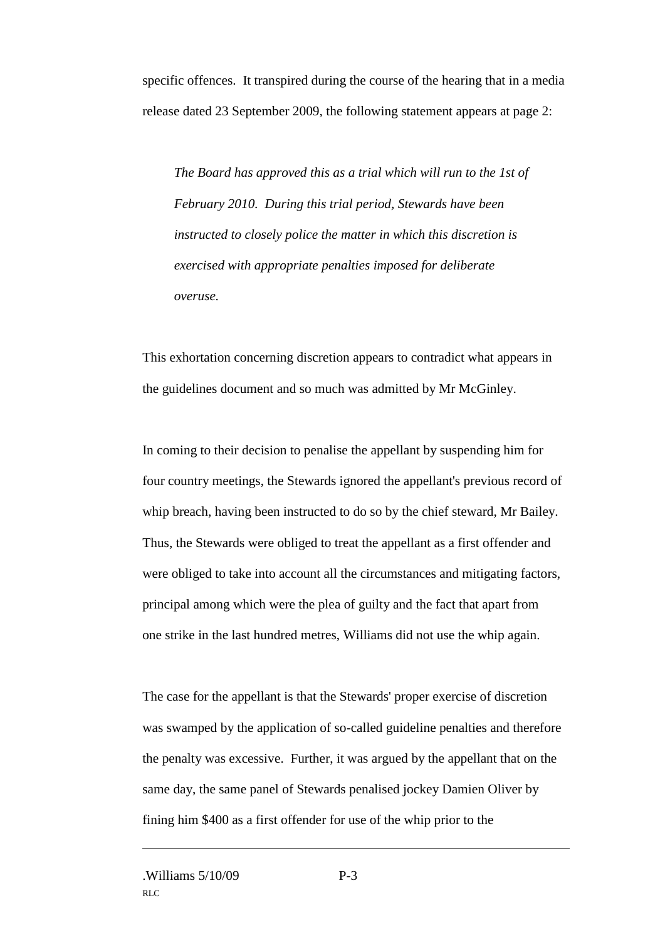specific offences. It transpired during the course of the hearing that in a media release dated 23 September 2009, the following statement appears at page 2:

*The Board has approved this as a trial which will run to the 1st of February 2010. During this trial period, Stewards have been instructed to closely police the matter in which this discretion is exercised with appropriate penalties imposed for deliberate overuse.*

This exhortation concerning discretion appears to contradict what appears in the guidelines document and so much was admitted by Mr McGinley.

In coming to their decision to penalise the appellant by suspending him for four country meetings, the Stewards ignored the appellant's previous record of whip breach, having been instructed to do so by the chief steward, Mr Bailey. Thus, the Stewards were obliged to treat the appellant as a first offender and were obliged to take into account all the circumstances and mitigating factors, principal among which were the plea of guilty and the fact that apart from one strike in the last hundred metres, Williams did not use the whip again.

The case for the appellant is that the Stewards' proper exercise of discretion was swamped by the application of so-called guideline penalties and therefore the penalty was excessive. Further, it was argued by the appellant that on the same day, the same panel of Stewards penalised jockey Damien Oliver by fining him \$400 as a first offender for use of the whip prior to the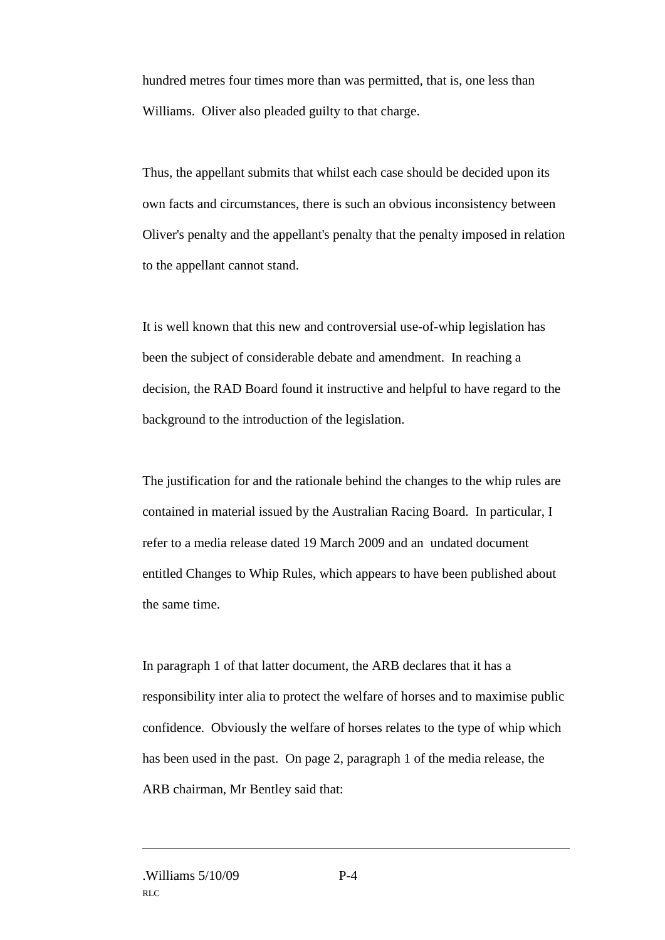hundred metres four times more than was permitted, that is, one less than Williams. Oliver also pleaded guilty to that charge.

Thus, the appellant submits that whilst each case should be decided upon its own facts and circumstances, there is such an obvious inconsistency between Oliver's penalty and the appellant's penalty that the penalty imposed in relation to the appellant cannot stand.

It is well known that this new and controversial use-of-whip legislation has been the subject of considerable debate and amendment. In reaching a decision, the RAD Board found it instructive and helpful to have regard to the background to the introduction of the legislation.

The justification for and the rationale behind the changes to the whip rules are contained in material issued by the Australian Racing Board. In particular, I refer to a media release dated 19 March 2009 and an undated document entitled Changes to Whip Rules, which appears to have been published about the same time.

In paragraph 1 of that latter document, the ARB declares that it has a responsibility inter alia to protect the welfare of horses and to maximise public confidence. Obviously the welfare of horses relates to the type of whip which has been used in the past. On page 2, paragraph 1 of the media release, the ARB chairman, Mr Bentley said that: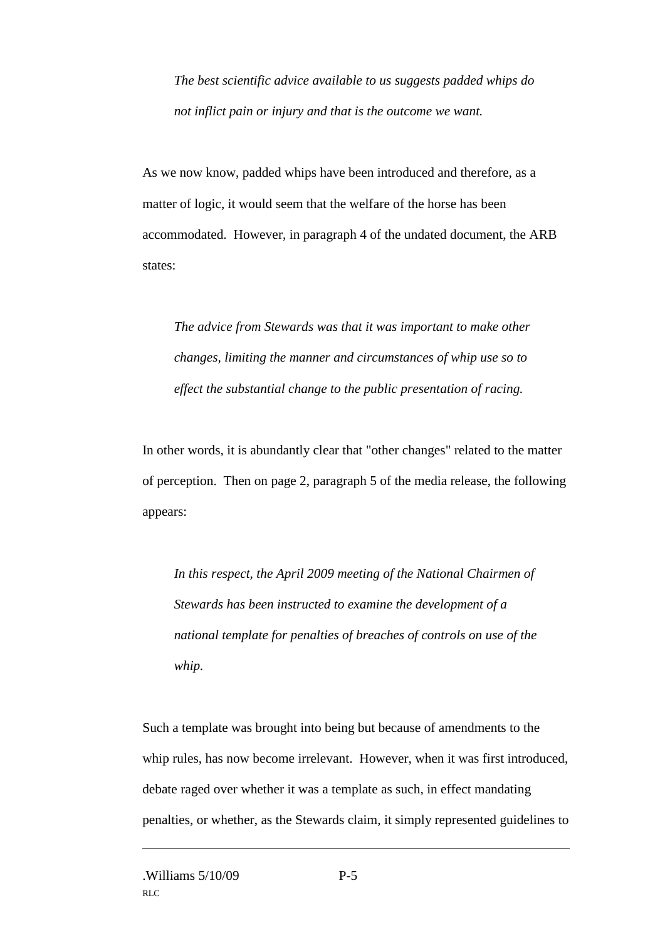*The best scientific advice available to us suggests padded whips do not inflict pain or injury and that is the outcome we want.*

As we now know, padded whips have been introduced and therefore, as a matter of logic, it would seem that the welfare of the horse has been accommodated. However, in paragraph 4 of the undated document, the ARB states:

*The advice from Stewards was that it was important to make other changes, limiting the manner and circumstances of whip use so to effect the substantial change to the public presentation of racing.*

In other words, it is abundantly clear that "other changes" related to the matter of perception. Then on page 2, paragraph 5 of the media release, the following appears:

*In this respect, the April 2009 meeting of the National Chairmen of Stewards has been instructed to examine the development of a national template for penalties of breaches of controls on use of the whip.*

Such a template was brought into being but because of amendments to the whip rules, has now become irrelevant. However, when it was first introduced, debate raged over whether it was a template as such, in effect mandating penalties, or whether, as the Stewards claim, it simply represented guidelines to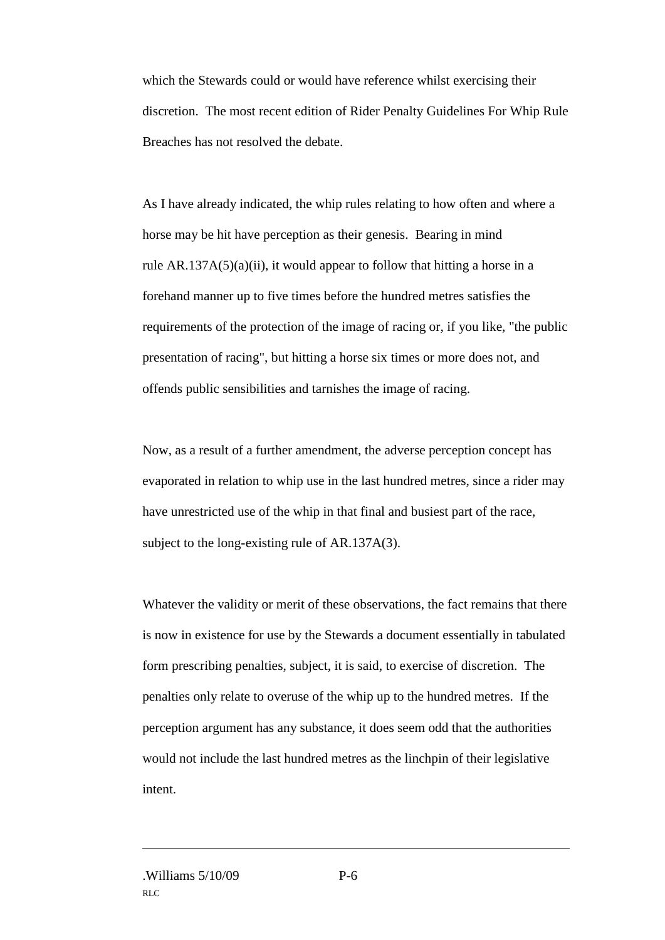which the Stewards could or would have reference whilst exercising their discretion. The most recent edition of Rider Penalty Guidelines For Whip Rule Breaches has not resolved the debate.

As I have already indicated, the whip rules relating to how often and where a horse may be hit have perception as their genesis. Bearing in mind rule  $AR.137A(5)(a)(ii)$ , it would appear to follow that hitting a horse in a forehand manner up to five times before the hundred metres satisfies the requirements of the protection of the image of racing or, if you like, "the public presentation of racing", but hitting a horse six times or more does not, and offends public sensibilities and tarnishes the image of racing.

Now, as a result of a further amendment, the adverse perception concept has evaporated in relation to whip use in the last hundred metres, since a rider may have unrestricted use of the whip in that final and busiest part of the race, subject to the long-existing rule of AR.137A(3).

Whatever the validity or merit of these observations, the fact remains that there is now in existence for use by the Stewards a document essentially in tabulated form prescribing penalties, subject, it is said, to exercise of discretion. The penalties only relate to overuse of the whip up to the hundred metres. If the perception argument has any substance, it does seem odd that the authorities would not include the last hundred metres as the linchpin of their legislative intent.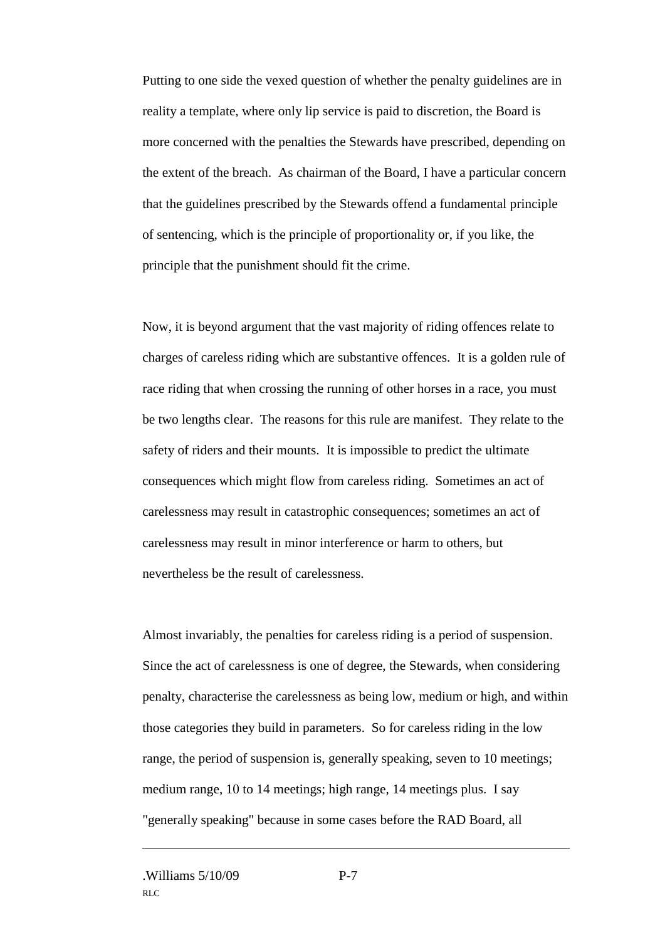Putting to one side the vexed question of whether the penalty guidelines are in reality a template, where only lip service is paid to discretion, the Board is more concerned with the penalties the Stewards have prescribed, depending on the extent of the breach. As chairman of the Board, I have a particular concern that the guidelines prescribed by the Stewards offend a fundamental principle of sentencing, which is the principle of proportionality or, if you like, the principle that the punishment should fit the crime.

Now, it is beyond argument that the vast majority of riding offences relate to charges of careless riding which are substantive offences. It is a golden rule of race riding that when crossing the running of other horses in a race, you must be two lengths clear. The reasons for this rule are manifest. They relate to the safety of riders and their mounts. It is impossible to predict the ultimate consequences which might flow from careless riding. Sometimes an act of carelessness may result in catastrophic consequences; sometimes an act of carelessness may result in minor interference or harm to others, but nevertheless be the result of carelessness.

Almost invariably, the penalties for careless riding is a period of suspension. Since the act of carelessness is one of degree, the Stewards, when considering penalty, characterise the carelessness as being low, medium or high, and within those categories they build in parameters. So for careless riding in the low range, the period of suspension is, generally speaking, seven to 10 meetings; medium range, 10 to 14 meetings; high range, 14 meetings plus. I say "generally speaking" because in some cases before the RAD Board, all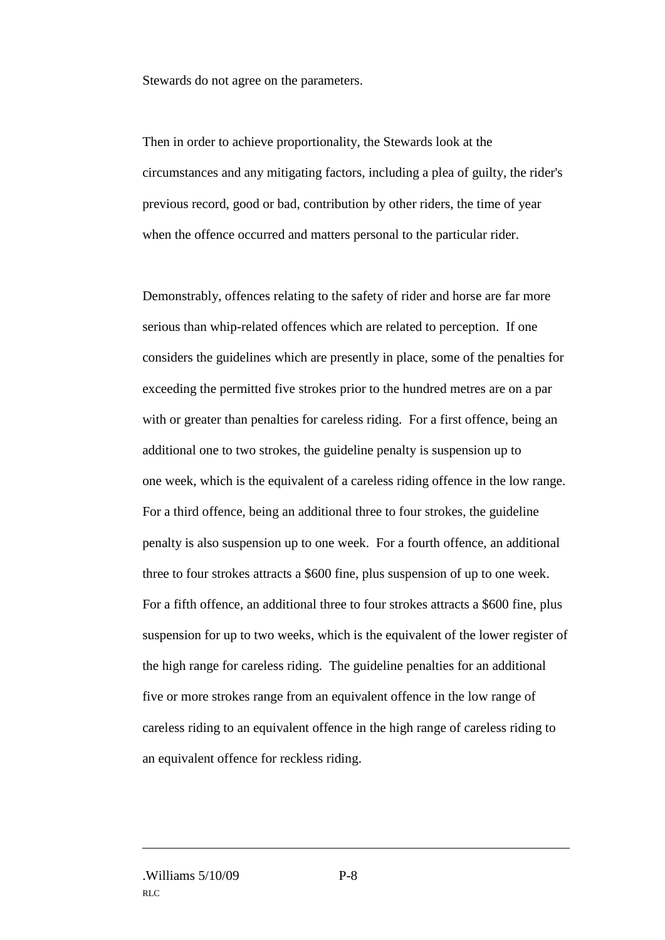Stewards do not agree on the parameters.

Then in order to achieve proportionality, the Stewards look at the circumstances and any mitigating factors, including a plea of guilty, the rider's previous record, good or bad, contribution by other riders, the time of year when the offence occurred and matters personal to the particular rider.

Demonstrably, offences relating to the safety of rider and horse are far more serious than whip-related offences which are related to perception. If one considers the guidelines which are presently in place, some of the penalties for exceeding the permitted five strokes prior to the hundred metres are on a par with or greater than penalties for careless riding. For a first offence, being an additional one to two strokes, the guideline penalty is suspension up to one week, which is the equivalent of a careless riding offence in the low range. For a third offence, being an additional three to four strokes, the guideline penalty is also suspension up to one week. For a fourth offence, an additional three to four strokes attracts a \$600 fine, plus suspension of up to one week. For a fifth offence, an additional three to four strokes attracts a \$600 fine, plus suspension for up to two weeks, which is the equivalent of the lower register of the high range for careless riding. The guideline penalties for an additional five or more strokes range from an equivalent offence in the low range of careless riding to an equivalent offence in the high range of careless riding to an equivalent offence for reckless riding.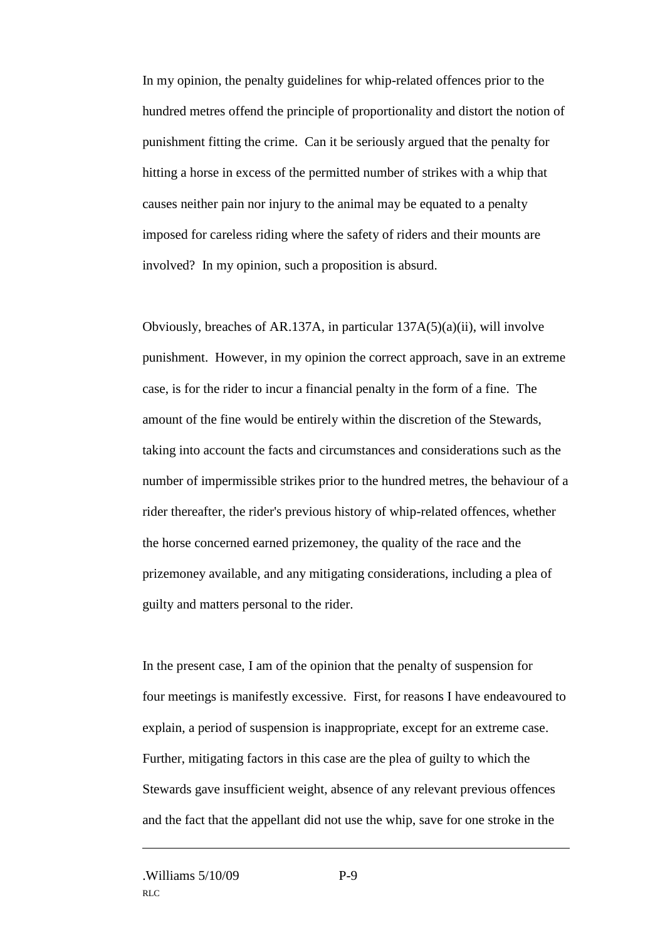In my opinion, the penalty guidelines for whip-related offences prior to the hundred metres offend the principle of proportionality and distort the notion of punishment fitting the crime. Can it be seriously argued that the penalty for hitting a horse in excess of the permitted number of strikes with a whip that causes neither pain nor injury to the animal may be equated to a penalty imposed for careless riding where the safety of riders and their mounts are involved? In my opinion, such a proposition is absurd.

Obviously, breaches of AR.137A, in particular 137A(5)(a)(ii), will involve punishment. However, in my opinion the correct approach, save in an extreme case, is for the rider to incur a financial penalty in the form of a fine. The amount of the fine would be entirely within the discretion of the Stewards, taking into account the facts and circumstances and considerations such as the number of impermissible strikes prior to the hundred metres, the behaviour of a rider thereafter, the rider's previous history of whip-related offences, whether the horse concerned earned prizemoney, the quality of the race and the prizemoney available, and any mitigating considerations, including a plea of guilty and matters personal to the rider.

In the present case, I am of the opinion that the penalty of suspension for four meetings is manifestly excessive. First, for reasons I have endeavoured to explain, a period of suspension is inappropriate, except for an extreme case. Further, mitigating factors in this case are the plea of guilty to which the Stewards gave insufficient weight, absence of any relevant previous offences and the fact that the appellant did not use the whip, save for one stroke in the